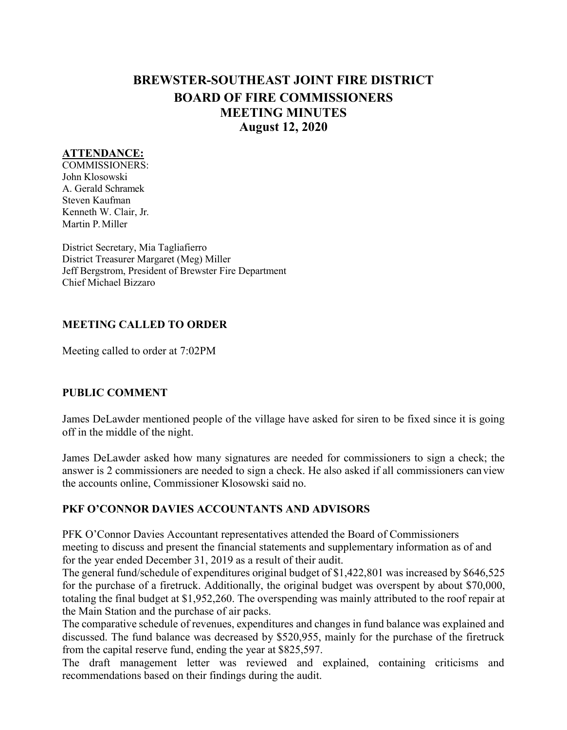# **BREWSTER-SOUTHEAST JOINT FIRE DISTRICT BOARD OF FIRE COMMISSIONERS MEETING MINUTES August 12, 2020**

### **ATTENDANCE:**

COMMISSIONERS: John Klosowski A. Gerald Schramek Steven Kaufman Kenneth W. Clair, Jr. Martin P.Miller

District Secretary, Mia Tagliafierro District Treasurer Margaret (Meg) Miller Jeff Bergstrom, President of Brewster Fire Department Chief Michael Bizzaro

#### **MEETING CALLED TO ORDER**

Meeting called to order at 7:02PM

#### **PUBLIC COMMENT**

James DeLawder mentioned people of the village have asked for siren to be fixed since it is going off in the middle of the night.

James DeLawder asked how many signatures are needed for commissioners to sign a check; the answer is 2 commissioners are needed to sign a check. He also asked if all commissioners canview the accounts online, Commissioner Klosowski said no.

#### **PKF O'CONNOR DAVIES ACCOUNTANTS AND ADVISORS**

PFK O'Connor Davies Accountant representatives attended the Board of Commissioners meeting to discuss and present the financial statements and supplementary information as of and for the year ended December 31, 2019 as a result of their audit.

The general fund/schedule of expenditures original budget of \$1,422,801 was increased by \$646,525 for the purchase of a firetruck. Additionally, the original budget was overspent by about \$70,000, totaling the final budget at \$1,952,260. The overspending was mainly attributed to the roof repair at the Main Station and the purchase of air packs.

The comparative schedule of revenues, expenditures and changes in fund balance was explained and discussed. The fund balance was decreased by \$520,955, mainly for the purchase of the firetruck from the capital reserve fund, ending the year at \$825,597.

The draft management letter was reviewed and explained, containing criticisms and recommendations based on their findings during the audit.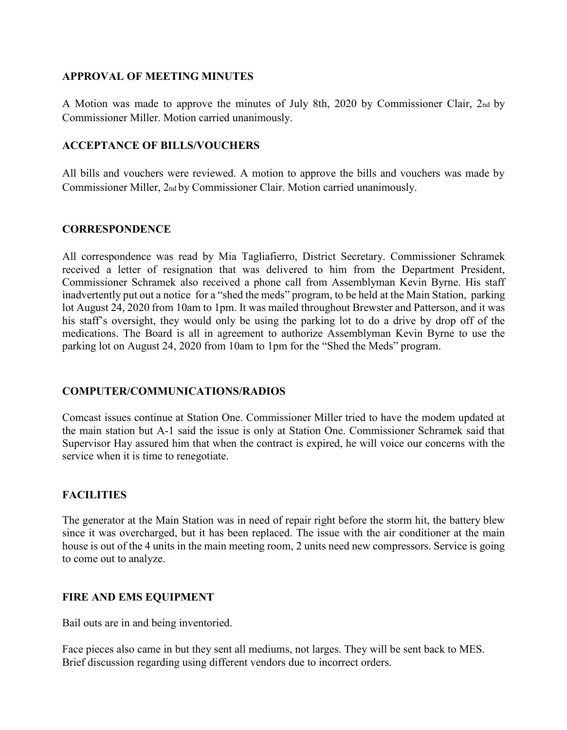#### **APPROVAL OF MEETING MINUTES**

A Motion was made to approve the minutes of July 8th, 2020 by Commissioner Clair, 2nd by Commissioner Miller. Motion carried unanimously.

### **ACCEPTANCE OF BILLS/VOUCHERS**

All bills and vouchers were reviewed. A motion to approve the bills and vouchers was made by Commissioner Miller, 2nd by Commissioner Clair. Motion carried unanimously.

#### **CORRESPONDENCE**

All correspondence was read by Mia Tagliafierro, District Secretary. Commissioner Schramek received a letter of resignation that was delivered to him from the Department President, Commissioner Schramek also received a phone call from Assemblyman Kevin Byrne. His staff inadvertently put out a notice for a "shed the meds" program, to be held at the Main Station, parking lot August 24, 2020 from 10am to 1pm. It was mailed throughout Brewster and Patterson, and it was his staff's oversight, they would only be using the parking lot to do a drive by drop off of the medications. The Board is all in agreement to authorize Assemblyman Kevin Byrne to use the parking lot on August 24, 2020 from 10am to 1pm for the "Shed the Meds" program.

# **COMPUTER/COMMUNICATIONS/RADIOS**

Comcast issues continue at Station One. Commissioner Miller tried to have the modem updated at the main station but A-1 said the issue is only at Station One. Commissioner Schramek said that Supervisor Hay assured him that when the contract is expired, he will voice our concerns with the service when it is time to renegotiate.

# **FACILITIES**

The generator at the Main Station was in need of repair right before the storm hit, the battery blew since it was overcharged, but it has been replaced. The issue with the air conditioner at the main house is out of the 4 units in the main meeting room, 2 units need new compressors. Service is going to come out to analyze.

# **FIRE AND EMS EQUIPMENT**

Bail outs are in and being inventoried.

Face pieces also came in but they sent all mediums, not larges. They will be sent back to MES. Brief discussion regarding using different vendors due to incorrect orders.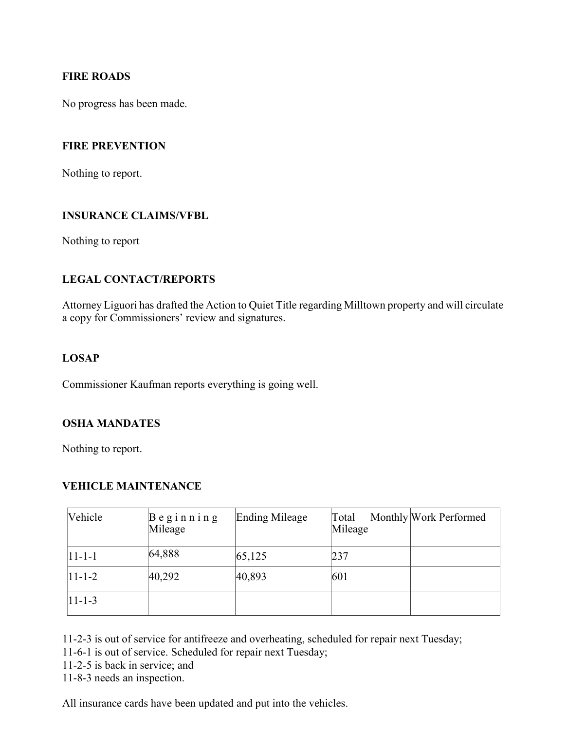#### **FIRE ROADS**

No progress has been made.

#### **FIRE PREVENTION**

Nothing to report.

#### **INSURANCE CLAIMS/VFBL**

Nothing to report

# **LEGAL CONTACT/REPORTS**

Attorney Liguori has drafted the Action to Quiet Title regarding Milltown property and will circulate a copy for Commissioners' review and signatures.

#### **LOSAP**

Commissioner Kaufman reports everything is going well.

# **OSHA MANDATES**

Nothing to report.

# **VEHICLE MAINTENANCE**

| Vehicle    | $\beta$ eginning<br>Mileage | Ending Mileage | Total<br>Mileage | Monthly Work Performed |
|------------|-----------------------------|----------------|------------------|------------------------|
| $ 11-1-1 $ | 64,888                      | 65,125         | 237              |                        |
| $ 11-1-2 $ | 40,292                      | 40,893         | 601              |                        |
| $ 11-1-3 $ |                             |                |                  |                        |

11-2-3 is out of service for antifreeze and overheating, scheduled for repair next Tuesday;

11-6-1 is out of service. Scheduled for repair next Tuesday;

11-2-5 is back in service; and

11-8-3 needs an inspection.

All insurance cards have been updated and put into the vehicles.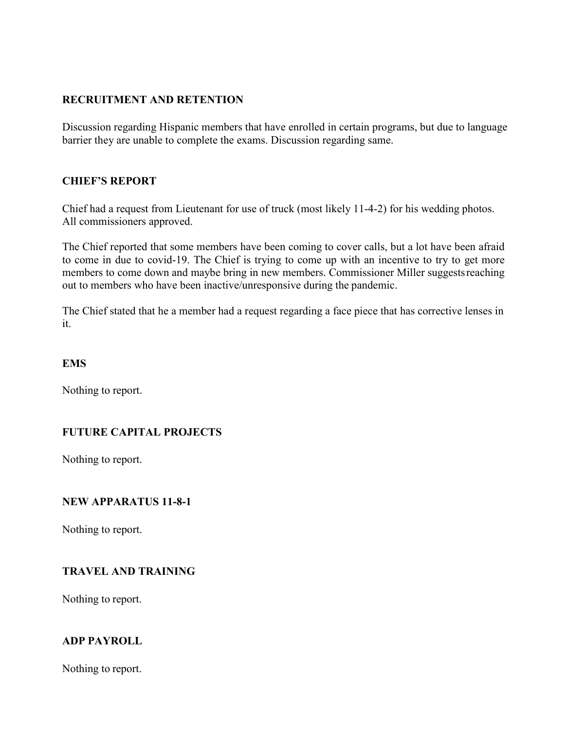# **RECRUITMENT AND RETENTION**

Discussion regarding Hispanic members that have enrolled in certain programs, but due to language barrier they are unable to complete the exams. Discussion regarding same.

# **CHIEF'S REPORT**

Chief had a request from Lieutenant for use of truck (most likely 11-4-2) for his wedding photos. All commissioners approved.

The Chief reported that some members have been coming to cover calls, but a lot have been afraid to come in due to covid-19. The Chief is trying to come up with an incentive to try to get more members to come down and maybe bring in new members. Commissioner Miller suggestsreaching out to members who have been inactive/unresponsive during the pandemic.

The Chief stated that he a member had a request regarding a face piece that has corrective lenses in it.

# **EMS**

Nothing to report.

# **FUTURE CAPITAL PROJECTS**

Nothing to report.

# **NEW APPARATUS 11-8-1**

Nothing to report.

# **TRAVEL AND TRAINING**

Nothing to report.

# **ADP PAYROLL**

Nothing to report.